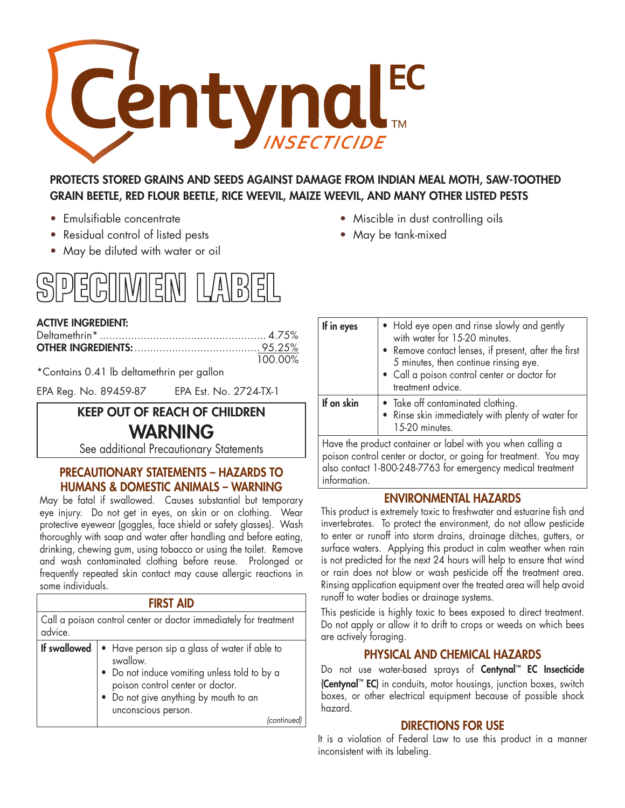

# PROTECTS STORED GRAINS AND SEEDS AGAINST DAMAGE FROM INDIAN MEAL MOTH, SAW-TOOTHED GRAIN BEETLE, RED FLOUR BEETLE, RICE WEEVIL, MAIZE WEEVIL, AND MANY OTHER LISTED PESTS

- 
- Residual control of listed pests May be tank-mixed
- May be diluted with water or oil



### ACTIVE INGREDIENT:

| 100.00% |
|---------|

\*Contains 0.41 lb deltamethrin per gallon

EPA Reg. No. 89459-87 EPA Est. No. 2724-TX-1

# KEEP OUT OF REACH OF CHILDREN WARNING

See additional Precautionary Statements

## PRECAUTIONARY STATEMENTS – HAZARDS TO HUMANS & DOMESTIC ANIMALS – WARNING

May be fatal if swallowed. Causes substantial but temporary eye injury. Do not get in eyes, on skin or on clothing. Wear protective eyewear (goggles, face shield or safety glasses). Wash thoroughly with soap and water after handling and before eating, drinking, chewing gum, using tobacco or using the toilet. Remove and wash contaminated clothing before reuse. Prolonged or frequently repeated skin contact may cause allergic reactions in some individuals.

| <b>FIRST AID</b>                                                            |                                                                                                                                                                                                                            |  |  |  |  |
|-----------------------------------------------------------------------------|----------------------------------------------------------------------------------------------------------------------------------------------------------------------------------------------------------------------------|--|--|--|--|
| Call a poison control center or doctor immediately for treatment<br>advice. |                                                                                                                                                                                                                            |  |  |  |  |
| If swallowed                                                                | • Have person sip a glass of water if able to<br>swallow.<br>• Do not induce vomiting unless told to by a<br>poison control center or doctor.<br>Do not give anything by mouth to an<br>unconscious person.<br>(continued) |  |  |  |  |

- Emulsifiable concentrate Miscible in dust controlling oils
	-

| If in eyes | • Hold eye open and rinse slowly and gently<br>with water for 15-20 minutes.<br>• Remove contact lenses, if present, after the first<br>5 minutes, then continue rinsing eye.<br>• Call a poison control center or doctor for<br>treatment advice. |
|------------|----------------------------------------------------------------------------------------------------------------------------------------------------------------------------------------------------------------------------------------------------|
| If on skin | • Take off contaminated clothing.<br>• Rinse skin immediately with plenty of water for<br>15-20 minutes.                                                                                                                                           |
|            |                                                                                                                                                                                                                                                    |

Have the product container or label with you when calling a poison control center or doctor, or going for treatment. You may also contact 1-800-248-7763 for emergency medical treatment information.

### ENVIRONMENTAL HAZARDS

This product is extremely toxic to freshwater and estuarine fish and invertebrates. To protect the environment, do not allow pesticide to enter or runoff into storm drains, drainage ditches, gutters, or surface waters. Applying this product in calm weather when rain is not predicted for the next 24 hours will help to ensure that wind or rain does not blow or wash pesticide off the treatment area. Rinsing application equipment over the treated area will help avoid runoff to water bodies or drainage systems.

This pesticide is highly toxic to bees exposed to direct treatment. Do not apply or allow it to drift to crops or weeds on which bees are actively foraging.

## PHYSICAL AND CHEMICAL HAZARDS

Do not use water-based sprays of Centynal™ EC Insecticide (Centynal™ EC) in conduits, motor housings, junction boxes, switch boxes, or other electrical equipment because of possible shock hazard.

### DIRECTIONS FOR USE

It is a violation of Federal Law to use this product in a manner inconsistent with its labeling.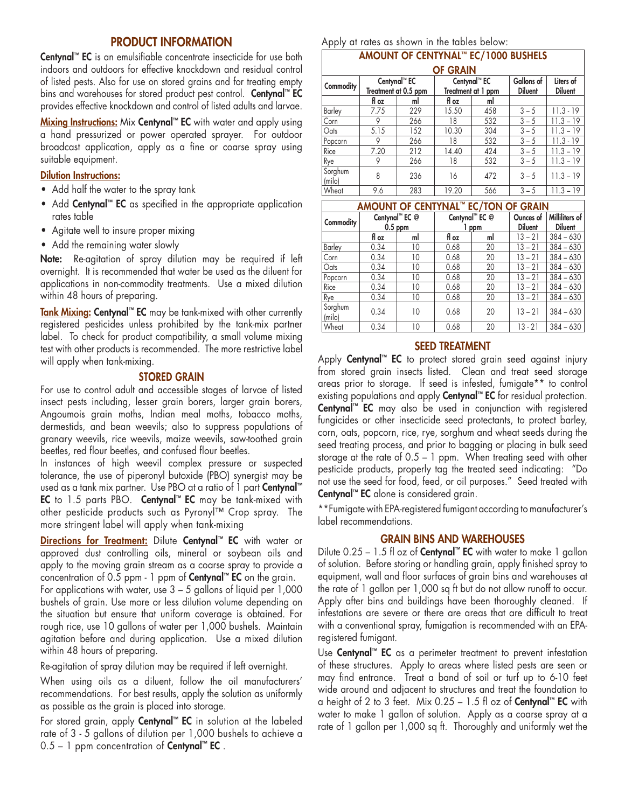### PRODUCT INFORMATION

Centynal™ EC is an emulsifiable concentrate insecticide for use both indoors and outdoors for effective knockdown and residual control of listed pests. Also for use on stored grains and for treating empty bins and warehouses for stored product pest control. Centynal™ EC provides effective knockdown and control of listed adults and larvae.

Mixing Instructions: Mix Centynal™ EC with water and apply using a hand pressurized or power operated sprayer. For outdoor broadcast application, apply as a fine or coarse spray using suitable equipment.

#### Dilution Instructions:

- Add half the water to the spray tank
- Add Centynal™ EC as specified in the appropriate application rates table
- Agitate well to insure proper mixing
- Add the remaining water slowly

Note: Re-agitation of spray dilution may be required if left overnight. It is recommended that water be used as the diluent for applications in non-commodity treatments. Use a mixed dilution within 48 hours of preparing.

Tank Mixing: Centynal™ EC may be tank-mixed with other currently registered pesticides unless prohibited by the tank-mix partner label. To check for product compatibility, a small volume mixing test with other products is recommended. The more restrictive label will apply when tank-mixing.

#### STORED GRAIN

For use to control adult and accessible stages of larvae of listed insect pests including, lesser grain borers, larger grain borers, Angoumois grain moths, Indian meal moths, tobacco moths, dermestids, and bean weevils; also to suppress populations of granary weevils, rice weevils, maize weevils, saw-toothed grain beetles, red flour beetles, and confused flour beetles.

In instances of high weevil complex pressure or suspected tolerance, the use of piperonyl butoxide (PBO) synergist may be used as a tank mix partner. Use PBO at a ratio of 1 part Centynal™ EC to 1.5 parts PBO. Centynal™ EC may be tank-mixed with other pesticide products such as Pyronyl™ Crop spray. The more stringent label will apply when tank-mixing

Directions for Treatment: Dilute Centynal™ EC with water or approved dust controlling oils, mineral or soybean oils and apply to the moving grain stream as a coarse spray to provide a concentration of 0.5 ppm - 1 ppm of Centynal™ EC on the grain.

For applications with water, use  $3 - 5$  gallons of liquid per 1,000 bushels of grain. Use more or less dilution volume depending on the situation but ensure that uniform coverage is obtained. For rough rice, use 10 gallons of water per 1,000 bushels. Maintain agitation before and during application. Use a mixed dilution within 48 hours of preparing.

Re-agitation of spray dilution may be required if left overnight.

When using oils as a diluent, follow the oil manufacturers' recommendations. For best results, apply the solution as uniformly as possible as the grain is placed into storage.

For stored grain, apply Centynal™ EC in solution at the labeled rate of 3 - 5 gallons of dilution per 1,000 bushels to achieve a  $0.5 - 1$  ppm concentration of **Centynal**<sup>™</sup> EC.

Apply at rates as shown in the tables below: AMOUNT OF CENTYNAL™ EC/1000 BUSHELS

| AMOUNT OF CENTINAL EC/TUUU DUSHELS |       |                          |       |                          |                   |                |  |
|------------------------------------|-------|--------------------------|-------|--------------------------|-------------------|----------------|--|
| <b>OF GRAIN</b>                    |       |                          |       |                          |                   |                |  |
| <b>Commodity</b>                   |       | Centynal <sup>™</sup> EC |       | Centynal <sup>™</sup> EC | <b>Gallons</b> of | Liters of      |  |
|                                    |       | Treatment at 0.5 ppm     |       | Treatment at 1 ppm       | <b>Diluent</b>    | <b>Diluent</b> |  |
|                                    | fl oz | ml                       | fl oz | ml                       |                   |                |  |
| Barley                             | 7.75  | 229                      | 15.50 | 458                      | $3 - 5$           | $11.3 - 19$    |  |
| Corn                               | 9     | 266                      | 18    | 532                      | $3 - 5$           | $11.3 - 19$    |  |
| Oats                               | 5.15  | 152                      | 10.30 | 304                      | $3 - 5$           | $11.3 - 19$    |  |
| Popcorn                            | 9     | 266                      | 18    | 532                      | $3 - 5$           | $11.3 - 19$    |  |
| Rice                               | 7.20  | 212                      | 14.40 | 424                      | $3 - 5$           | $11.3 - 19$    |  |
| <u>Rye</u>                         | 9     | 266                      | 18    | 532                      | $3 - 5$           | $11.3 - 19$    |  |
| Sorghum<br>(milo)                  | 8     | 236                      | 16    | 472                      | $3 - 5$           | $11.3 - 19$    |  |
| Wheat                              | 9.6   | 283                      | 19.20 | 566                      | $3 - 5$           | $11.3 - 19$    |  |

| AMOUNT OF CENTYNAL™ EC/TON OF GRAIN |                             |    |                            |     |                             |                                  |  |
|-------------------------------------|-----------------------------|----|----------------------------|-----|-----------------------------|----------------------------------|--|
| Commodity                           | Centynal™ EC @<br>$0.5$ ppm |    | Centynal <sup>™</sup> EC @ | ppm | Ounces of<br><b>Diluent</b> | Milliliters of<br><b>Diluent</b> |  |
|                                     | fl oz                       | ml | fl oz                      | ml  | $13 - 21$                   | $384 - 630$                      |  |
| Barley                              | 0.34                        | 10 | 0.68                       | 20  | $13 - 21$                   | $384 - 630$                      |  |
| Corn                                | 0.34                        | 10 | 0.68                       | 20  | $13 - 21$                   | $384 - 630$                      |  |
| Oats                                | 0.34                        | 10 | 0.68                       | 20  | $13 - 21$                   | $384 - 630$                      |  |
| Popcorn                             | 0.34                        | 10 | 0.68                       | 20  | 13 – 21                     | $384 - 630$                      |  |
| Rice                                | 0.34                        | 10 | 0.68                       | 20  | 13 – 21                     | $384 - 630$                      |  |
| Rye                                 | 0.34                        | 10 | 0.68                       | 20  | $13 - 21$                   | $384 - 630$                      |  |
| Sorghum<br>(milo)                   | 0.34                        | 10 | 0.68                       | 20  | $13 - 21$                   | $384 - 630$                      |  |
| Wheat                               | 0.34                        | 10 | 0.68                       | 20  | $13 - 21$                   | $384 - 630$                      |  |

#### SEED TREATMENT

Apply Centynal<sup>™</sup> EC to protect stored grain seed against injury from stored grain insects listed. Clean and treat seed storage areas prior to storage. If seed is infested, fumigate\*\* to control existing populations and apply **Centynal™ EC** for residual protection. Centynal<sup>™</sup> EC may also be used in conjunction with registered fungicides or other insecticide seed protectants, to protect barley, corn, oats, popcorn, rice, rye, sorghum and wheat seeds during the seed treating process, and prior to bagging or placing in bulk seed storage at the rate of 0.5 – 1 ppm. When treating seed with other pesticide products, properly tag the treated seed indicating: "Do not use the seed for food, feed, or oil purposes." Seed treated with Centynal<sup>™</sup> EC alone is considered grain.

\*\*Fumigate with EPA-registered fumigant according to manufacturer's label recommendations.

#### GRAIN BINS AND WAREHOUSES

Dilute 0.25 – 1.5 fl oz of **Centynal™ EC** with water to make 1 gallon of solution. Before storing or handling grain, apply finished spray to equipment, wall and floor surfaces of grain bins and warehouses at the rate of 1 gallon per 1,000 sq ft but do not allow runoff to occur. Apply after bins and buildings have been thoroughly cleaned. If infestations are severe or there are areas that are difficult to treat with a conventional spray, fumigation is recommended with an EPAregistered fumigant.

Use **Centynal™ EC** as a perimeter treatment to prevent infestation of these structures. Apply to areas where listed pests are seen or may find entrance. Treat a band of soil or turf up to 6-10 feet wide around and adjacent to structures and treat the foundation to a height of 2 to 3 feet. Mix  $0.25 - 1.5$  fl oz of Centynal™ EC with water to make 1 gallon of solution. Apply as a coarse spray at a rate of 1 gallon per 1,000 sq ft. Thoroughly and uniformly wet the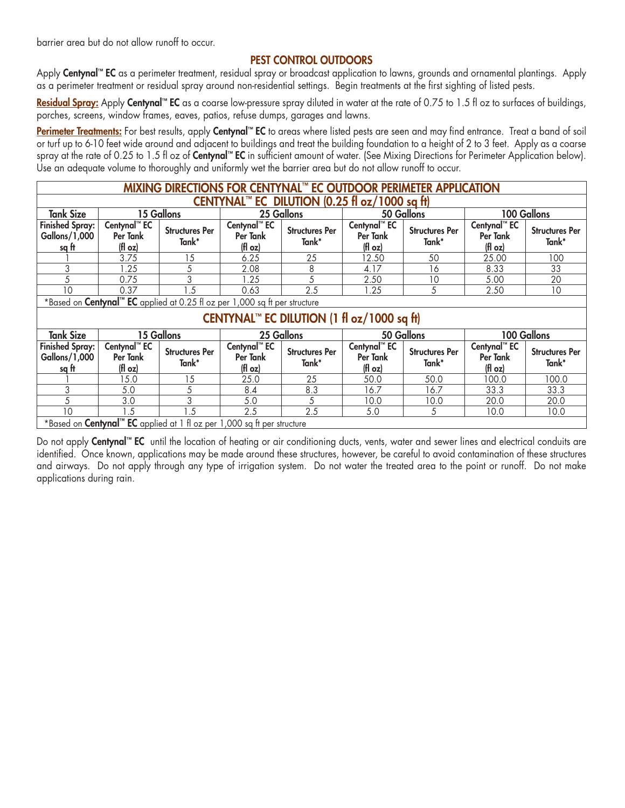barrier area but do not allow runoff to occur.

### PEST CONTROL OUTDOORS

Apply Centynal™ EC as a perimeter treatment, residual spray or broadcast application to lawns, grounds and ornamental plantings. Apply as a perimeter treatment or residual spray around non-residential settings. Begin treatments at the first sighting of listed pests.

Residual Spray: Apply Centynal™ EC as a coarse low-pressure spray diluted in water at the rate of 0.75 to 1.5 fl oz to surfaces of buildings, porches, screens, window frames, eaves, patios, refuse dumps, garages and lawns.

Perimeter Treatments: For best results, apply Centynal™ EC to areas where listed pests are seen and may find entrance. Treat a band of soil or turf up to 6-10 feet wide around and adjacent to buildings and treat the building foundation to a height of 2 to 3 feet. Apply as a coarse spray at the rate of 0.25 to 1.5 fl oz of Centynal™ EC in sufficient amount of water. (See Mixing Directions for Perimeter Application below). Use an adequate volume to thoroughly and uniformly wet the barrier area but do not allow runoff to occur.

| MIXING DIRECTIONS FOR CENTYNAL™ EC OUTDOOR PERIMETER APPLICATION                    |                                                    |                                                                                        |                                                |                                |                                                |                                |                                                |                                |
|-------------------------------------------------------------------------------------|----------------------------------------------------|----------------------------------------------------------------------------------------|------------------------------------------------|--------------------------------|------------------------------------------------|--------------------------------|------------------------------------------------|--------------------------------|
| CENTYNAL <sup>™</sup> EC DILUTION (0.25 fl oz/1000 sq ft)                           |                                                    |                                                                                        |                                                |                                |                                                |                                |                                                |                                |
| <b>Tank Size</b>                                                                    | 15 Gallons                                         |                                                                                        | 25 Gallons                                     |                                | 50 Gallons                                     |                                | 100 Gallons                                    |                                |
| <b>Finished Spray:</b><br>Gallons/1,000<br>sq ft                                    | Centynal <sup>™</sup> EC<br>Per Tank<br>(fl $oz$ ) | <b>Structures Per</b><br>Tank*                                                         | Centynal <sup>™</sup> EC<br>Per Tank<br>(H oz) | <b>Structures Per</b><br>Tank* | Centynal <sup>™</sup> EC<br>Per Tank<br>(H oz) | <b>Structures Per</b><br>Tank* | Centynal <sup>™</sup> EC<br>Per Tank<br>(f oz) | <b>Structures Per</b><br>Tank* |
|                                                                                     | 3.75                                               | 15                                                                                     | 6.25                                           | 25                             | 12.50                                          | 50                             | 25.00                                          | 100                            |
| 3                                                                                   | 1.25                                               | 5                                                                                      | 2.08                                           | 8                              | 4.17                                           | 16                             | 8.33                                           | 33                             |
| 5                                                                                   | 0.75                                               | 3                                                                                      | .25                                            | 5                              | 2.50                                           | 10                             | 5.00                                           | 20                             |
| 10                                                                                  | 0.37                                               | 1.5                                                                                    | 0.63                                           | 2.5                            | 1.25                                           | 5                              | 2.50                                           | 10                             |
|                                                                                     |                                                    | *Based on Centynal <sup>™</sup> EC applied at 0.25 fl oz per 1,000 sq ft per structure |                                                |                                |                                                |                                |                                                |                                |
| CENTYNAL <sup>™</sup> EC DILUTION (1 fl oz/1000 sq ft)                              |                                                    |                                                                                        |                                                |                                |                                                |                                |                                                |                                |
| <b>Tank Size</b>                                                                    | 15 Gallons                                         |                                                                                        | 25 Gallons                                     |                                | 50 Gallons                                     |                                | 100 Gallons                                    |                                |
| <b>Finished Spray:</b><br>Gallons/1,000<br>sq ft                                    | Centynal <sup>™</sup> EC<br>Per Tank<br>(H oz)     | <b>Structures Per</b><br>Tank*                                                         | Centynal <sup>™</sup> EC<br>Per Tank<br>(H oz) | <b>Structures Per</b><br>Tank* | Centynal <sup>™</sup> EC<br>Per Tank<br>(H oz) | <b>Structures Per</b><br>Tank* | Centynal <sup>™</sup> EC<br>Per Tank<br>(H oz) | <b>Structures Per</b><br>Tank* |
|                                                                                     | 15.0                                               | 15                                                                                     | 25.0                                           | 25                             | 50.0                                           | 50.0                           | 100.0                                          | 100.0                          |
| 3                                                                                   | 5.0                                                | 5                                                                                      | 8.4                                            | 8.3                            | 16.7                                           | 16.7                           | 33.3                                           | 33.3                           |
| 5                                                                                   | 3.0                                                | 3                                                                                      | 5.0                                            | 5                              | 10.0                                           | 10.0                           | 20.0                                           | 20.0                           |
| 10                                                                                  | 1.5                                                | 1.5                                                                                    | 2.5                                            | 2.5                            | 5.0                                            | 5                              | 10.0                                           | 10.0                           |
| *Based on Centynal <sup>™</sup> EC applied at 1 fl oz per 1,000 sq ft per structure |                                                    |                                                                                        |                                                |                                |                                                |                                |                                                |                                |

Do not apply **Centynal™ EC** until the location of heating or air conditioning ducts, vents, water and sewer lines and electrical conduits are identified. Once known, applications may be made around these structures, however, be careful to avoid contamination of these structures and airways. Do not apply through any type of irrigation system. Do not water the treated area to the point or runoff. Do not make applications during rain.